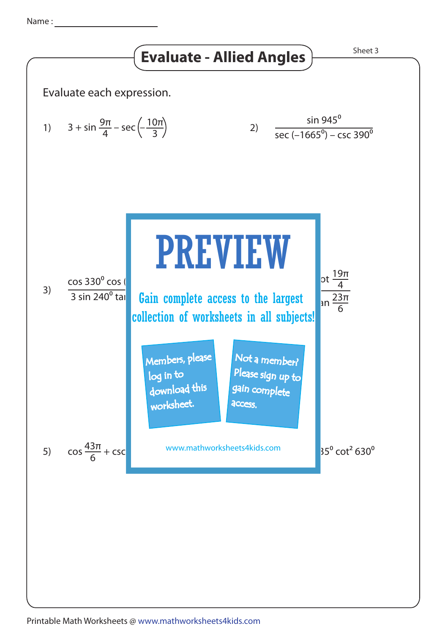